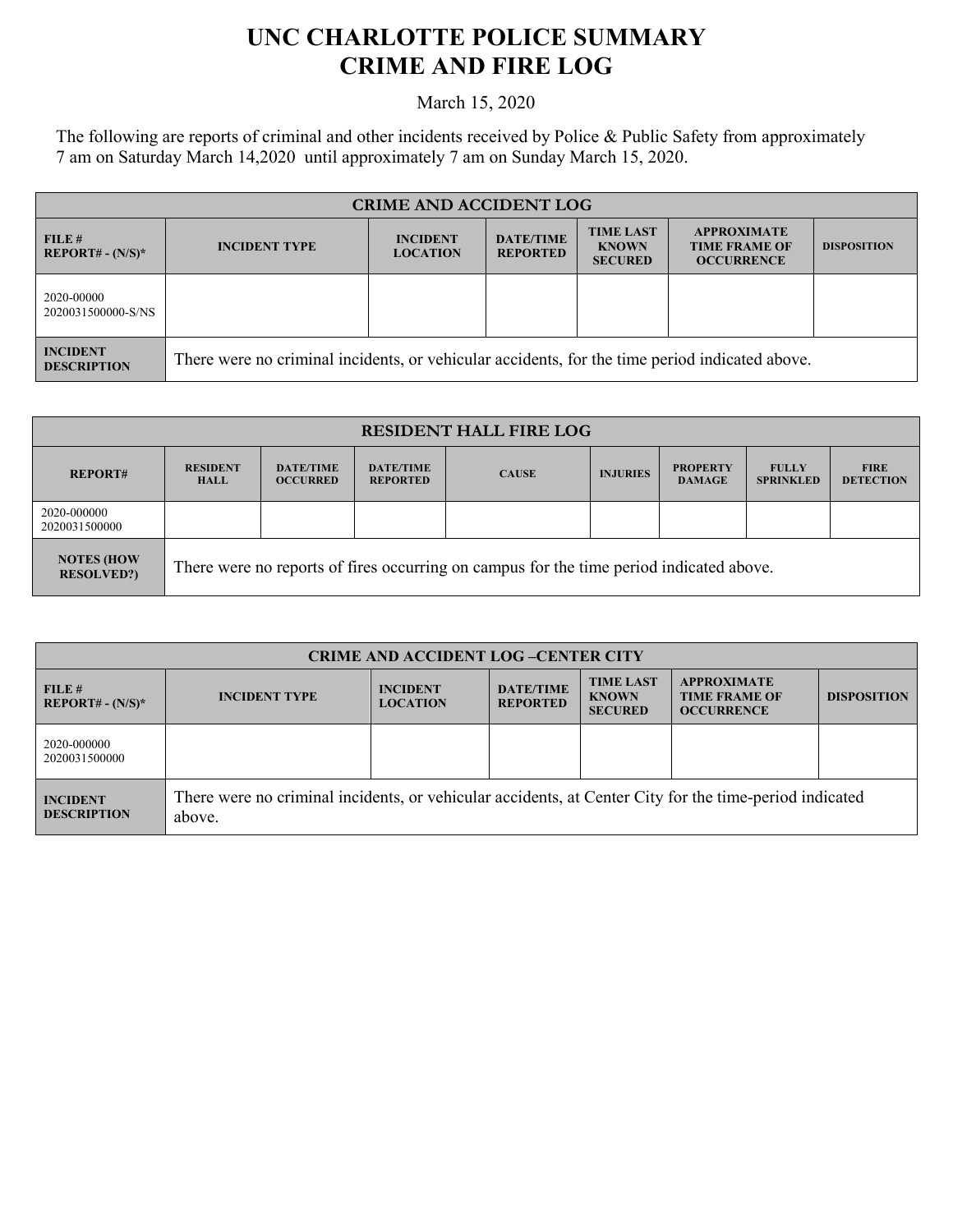## **UNC CHARLOTTE POLICE SUMMARY CRIME AND FIRE LOG**

March 15, 2020

The following are reports of criminal and other incidents received by Police & Public Safety from approximately 7 am on Saturday March 14,2020 until approximately 7 am on Sunday March 15, 2020.

| <b>CRIME AND ACCIDENT LOG</b>         |                                                                                                |                                    |                                     |                                                    |                                                                 |                    |
|---------------------------------------|------------------------------------------------------------------------------------------------|------------------------------------|-------------------------------------|----------------------------------------------------|-----------------------------------------------------------------|--------------------|
| FILE#<br>$REPORT# - (N/S)*$           | <b>INCIDENT TYPE</b>                                                                           | <b>INCIDENT</b><br><b>LOCATION</b> | <b>DATE/TIME</b><br><b>REPORTED</b> | <b>TIME LAST</b><br><b>KNOWN</b><br><b>SECURED</b> | <b>APPROXIMATE</b><br><b>TIME FRAME OF</b><br><b>OCCURRENCE</b> | <b>DISPOSITION</b> |
| 2020-00000<br>2020031500000-S/NS      |                                                                                                |                                    |                                     |                                                    |                                                                 |                    |
| <b>INCIDENT</b><br><b>DESCRIPTION</b> | There were no criminal incidents, or vehicular accidents, for the time period indicated above. |                                    |                                     |                                                    |                                                                 |                    |

| <b>RESIDENT HALL FIRE LOG</b>          |                                                                                         |                                     |                                     |              |                 |                                  |                                  |                                 |
|----------------------------------------|-----------------------------------------------------------------------------------------|-------------------------------------|-------------------------------------|--------------|-----------------|----------------------------------|----------------------------------|---------------------------------|
| <b>REPORT#</b>                         | <b>RESIDENT</b><br><b>HALL</b>                                                          | <b>DATE/TIME</b><br><b>OCCURRED</b> | <b>DATE/TIME</b><br><b>REPORTED</b> | <b>CAUSE</b> | <b>INJURIES</b> | <b>PROPERTY</b><br><b>DAMAGE</b> | <b>FULLY</b><br><b>SPRINKLED</b> | <b>FIRE</b><br><b>DETECTION</b> |
| 2020-000000<br>2020031500000           |                                                                                         |                                     |                                     |              |                 |                                  |                                  |                                 |
| <b>NOTES (HOW</b><br><b>RESOLVED?)</b> | There were no reports of fires occurring on campus for the time period indicated above. |                                     |                                     |              |                 |                                  |                                  |                                 |

| <b>CRIME AND ACCIDENT LOG-CENTER CITY</b> |                                                                                                                  |                                    |                                     |                                                    |                                                                 |                    |
|-------------------------------------------|------------------------------------------------------------------------------------------------------------------|------------------------------------|-------------------------------------|----------------------------------------------------|-----------------------------------------------------------------|--------------------|
| FILE H<br>$REPORT# - (N/S)*$              | <b>INCIDENT TYPE</b>                                                                                             | <b>INCIDENT</b><br><b>LOCATION</b> | <b>DATE/TIME</b><br><b>REPORTED</b> | <b>TIME LAST</b><br><b>KNOWN</b><br><b>SECURED</b> | <b>APPROXIMATE</b><br><b>TIME FRAME OF</b><br><b>OCCURRENCE</b> | <b>DISPOSITION</b> |
| 2020-000000<br>2020031500000              |                                                                                                                  |                                    |                                     |                                                    |                                                                 |                    |
| <b>INCIDENT</b><br><b>DESCRIPTION</b>     | There were no criminal incidents, or vehicular accidents, at Center City for the time-period indicated<br>above. |                                    |                                     |                                                    |                                                                 |                    |